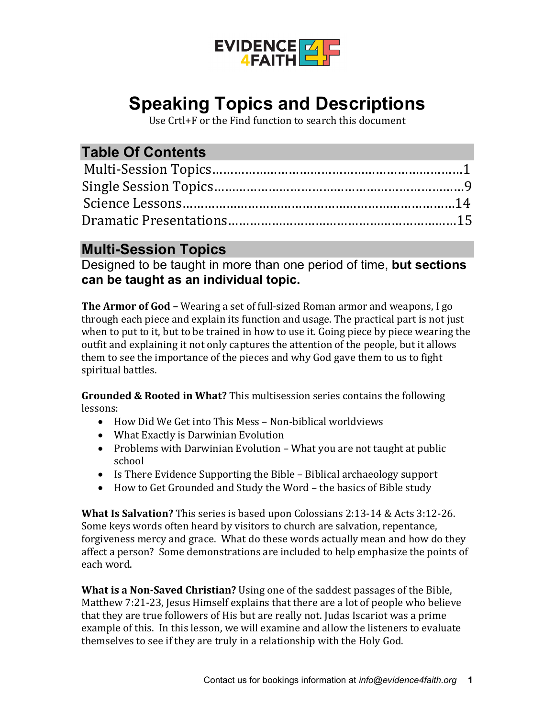

# **Speaking Topics and Descriptions**

Use Crtl+F or the Find function to search this document

## **Table Of Contents**

#### **Multi-Session Topics**

Designed to be taught in more than one period of time, **but sections can be taught as an individual topic.**

**The Armor of God –** Wearing a set of full-sized Roman armor and weapons, I go through each piece and explain its function and usage. The practical part is not just when to put to it, but to be trained in how to use it. Going piece by piece wearing the outfit and explaining it not only captures the attention of the people, but it allows them to see the importance of the pieces and why God gave them to us to fight spiritual battles.

**Grounded & Rooted in What?** This multisession series contains the following lessons:

- How Did We Get into This Mess Non-biblical worldviews
- What Exactly is Darwinian Evolution
- Problems with Darwinian Evolution What you are not taught at public school
- Is There Evidence Supporting the Bible Biblical archaeology support
- How to Get Grounded and Study the Word the basics of Bible study

**What Is Salvation?** This series is based upon Colossians 2:13-14 & Acts 3:12-26. Some keys words often heard by visitors to church are salvation, repentance, forgiveness mercy and grace. What do these words actually mean and how do they affect a person? Some demonstrations are included to help emphasize the points of each word.

**What is a Non-Saved Christian?** Using one of the saddest passages of the Bible, Matthew 7:21-23, Jesus Himself explains that there are a lot of people who believe that they are true followers of His but are really not. Judas Iscariot was a prime example of this. In this lesson, we will examine and allow the listeners to evaluate themselves to see if they are truly in a relationship with the Holy God.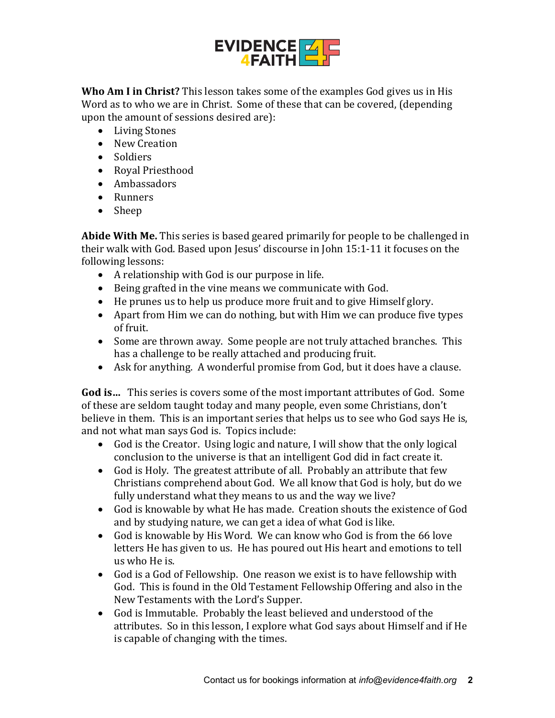

**Who Am I in Christ?** This lesson takes some of the examples God gives us in His Word as to who we are in Christ. Some of these that can be covered, (depending upon the amount of sessions desired are):

- Living Stones
- New Creation
- Soldiers
- Royal Priesthood
- Ambassadors
- Runners
- Sheep

**Abide With Me.** This series is based geared primarily for people to be challenged in their walk with God. Based upon Jesus' discourse in John 15:1-11 it focuses on the following lessons:

- A relationship with God is our purpose in life.
- Being grafted in the vine means we communicate with God.
- He prunes us to help us produce more fruit and to give Himself glory.
- Apart from Him we can do nothing, but with Him we can produce five types of fruit.
- Some are thrown away. Some people are not truly attached branches. This has a challenge to be really attached and producing fruit.
- Ask for anything. A wonderful promise from God, but it does have a clause.

**God is…** This series is covers some of the most important attributes of God. Some of these are seldom taught today and many people, even some Christians, don't believe in them. This is an important series that helps us to see who God says He is, and not what man says God is. Topics include:

- God is the Creator. Using logic and nature, I will show that the only logical conclusion to the universe is that an intelligent God did in fact create it.
- God is Holy. The greatest attribute of all. Probably an attribute that few Christians comprehend about God. We all know that God is holy, but do we fully understand what they means to us and the way we live?
- God is knowable by what He has made. Creation shouts the existence of God and by studying nature, we can get a idea of what God is like.
- God is knowable by His Word. We can know who God is from the 66 love letters He has given to us. He has poured out His heart and emotions to tell us who He is.
- God is a God of Fellowship. One reason we exist is to have fellowship with God. This is found in the Old Testament Fellowship Offering and also in the New Testaments with the Lord's Supper.
- God is Immutable. Probably the least believed and understood of the attributes. So in this lesson, I explore what God says about Himself and if He is capable of changing with the times.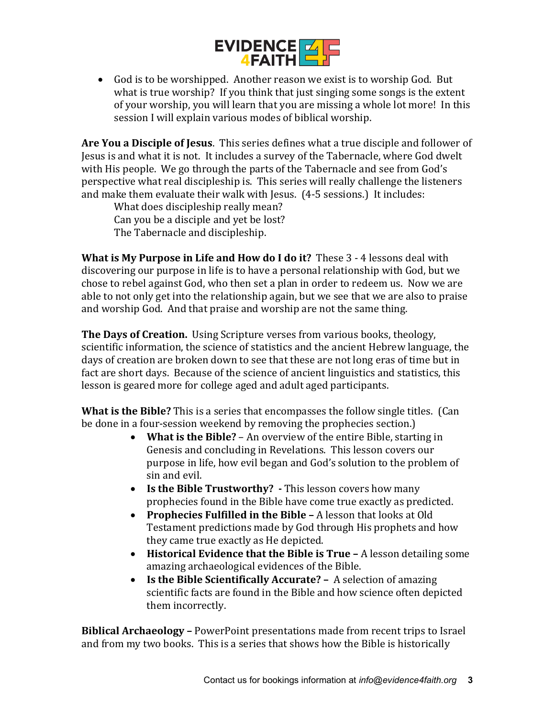

• God is to be worshipped. Another reason we exist is to worship God. But what is true worship? If you think that just singing some songs is the extent of your worship, you will learn that you are missing a whole lot more! In this session I will explain various modes of biblical worship.

**Are You a Disciple of Jesus**. This series defines what a true disciple and follower of Jesus is and what it is not. It includes a survey of the Tabernacle, where God dwelt with His people. We go through the parts of the Tabernacle and see from God's perspective what real discipleship is. This series will really challenge the listeners and make them evaluate their walk with Jesus. (4-5 sessions.) It includes:

What does discipleship really mean? Can you be a disciple and yet be lost? The Tabernacle and discipleship.

**What is My Purpose in Life and How do I do it?** These 3 - 4 lessons deal with discovering our purpose in life is to have a personal relationship with God, but we chose to rebel against God, who then set a plan in order to redeem us. Now we are able to not only get into the relationship again, but we see that we are also to praise and worship God. And that praise and worship are not the same thing.

**The Days of Creation.** Using Scripture verses from various books, theology, scientific information, the science of statistics and the ancient Hebrew language, the days of creation are broken down to see that these are not long eras of time but in fact are short days. Because of the science of ancient linguistics and statistics, this lesson is geared more for college aged and adult aged participants.

**What is the Bible?** This is a series that encompasses the follow single titles. (Can be done in a four-session weekend by removing the prophecies section.)

- **What is the Bible?** An overview of the entire Bible, starting in Genesis and concluding in Revelations. This lesson covers our purpose in life, how evil began and God's solution to the problem of sin and evil.
- **Is the Bible Trustworthy? -** This lesson covers how many prophecies found in the Bible have come true exactly as predicted.
- **Prophecies Fulfilled in the Bible –** A lesson that looks at Old Testament predictions made by God through His prophets and how they came true exactly as He depicted.
- **Historical Evidence that the Bible is True –** A lesson detailing some amazing archaeological evidences of the Bible.
- **Is the Bible Scientifically Accurate? –** A selection of amazing scientific facts are found in the Bible and how science often depicted them incorrectly.

**Biblical Archaeology –** PowerPoint presentations made from recent trips to Israel and from my two books. This is a series that shows how the Bible is historically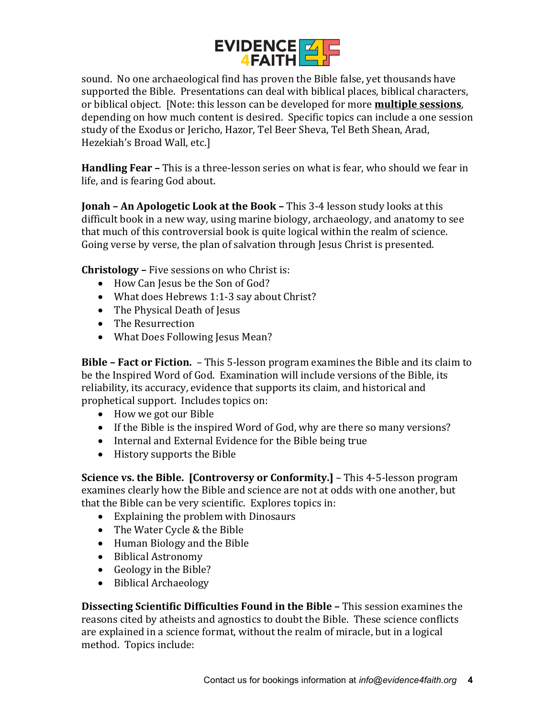

sound. No one archaeological find has proven the Bible false, yet thousands have supported the Bible. Presentations can deal with biblical places, biblical characters, or biblical object. [Note: this lesson can be developed for more **multiple sessions**, depending on how much content is desired. Specific topics can include a one session study of the Exodus or Jericho, Hazor, Tel Beer Sheva, Tel Beth Shean, Arad, Hezekiah's Broad Wall, etc.]

**Handling Fear –** This is a three-lesson series on what is fear, who should we fear in life, and is fearing God about.

**Jonah – An Apologetic Look at the Book –** This 3-4 lesson study looks at this difficult book in a new way, using marine biology, archaeology, and anatomy to see that much of this controversial book is quite logical within the realm of science. Going verse by verse, the plan of salvation through Jesus Christ is presented.

**Christology –** Five sessions on who Christ is:

- How Can Jesus be the Son of God?
- What does Hebrews 1:1-3 say about Christ?
- The Physical Death of Jesus
- The Resurrection
- What Does Following Jesus Mean?

**Bible – Fact or Fiction.** – This 5-lesson program examines the Bible and its claim to be the Inspired Word of God. Examination will include versions of the Bible, its reliability, its accuracy, evidence that supports its claim, and historical and prophetical support. Includes topics on:

- How we got our Bible
- If the Bible is the inspired Word of God, why are there so many versions?
- Internal and External Evidence for the Bible being true
- History supports the Bible

**Science vs. the Bible. [Controversy or Conformity.]** – This 4-5-lesson program examines clearly how the Bible and science are not at odds with one another, but that the Bible can be very scientific. Explores topics in:

- Explaining the problem with Dinosaurs
- The Water Cycle & the Bible
- Human Biology and the Bible
- Biblical Astronomy
- Geology in the Bible?
- Biblical Archaeology

**Dissecting Scientific Difficulties Found in the Bible –** This session examines the reasons cited by atheists and agnostics to doubt the Bible. These science conflicts are explained in a science format, without the realm of miracle, but in a logical method. Topics include: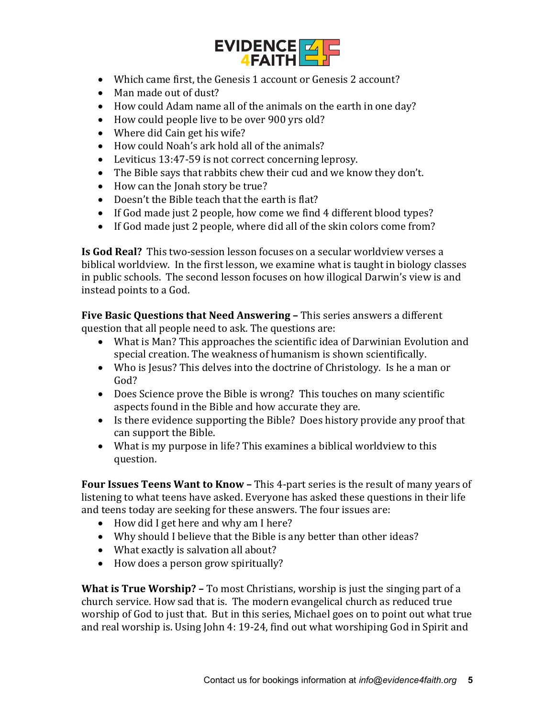

- Which came first, the Genesis 1 account or Genesis 2 account?
- Man made out of dust?
- How could Adam name all of the animals on the earth in one day?
- How could people live to be over 900 yrs old?
- Where did Cain get his wife?
- How could Noah's ark hold all of the animals?
- Leviticus 13:47-59 is not correct concerning leprosy.
- The Bible says that rabbits chew their cud and we know they don't.
- How can the Jonah story be true?
- Doesn't the Bible teach that the earth is flat?
- If God made just 2 people, how come we find 4 different blood types?
- If God made just 2 people, where did all of the skin colors come from?

**Is God Real?** This two-session lesson focuses on a secular worldview verses a biblical worldview. In the first lesson, we examine what is taught in biology classes in public schools. The second lesson focuses on how illogical Darwin's view is and instead points to a God.

**Five Basic Questions that Need Answering –** This series answers a different question that all people need to ask. The questions are:

- What is Man? This approaches the scientific idea of Darwinian Evolution and special creation. The weakness of humanism is shown scientifically.
- Who is Jesus? This delves into the doctrine of Christology. Is he a man or God?
- Does Science prove the Bible is wrong? This touches on many scientific aspects found in the Bible and how accurate they are.
- Is there evidence supporting the Bible? Does history provide any proof that can support the Bible.
- What is my purpose in life? This examines a biblical worldview to this question.

**Four Issues Teens Want to Know –** This 4-part series is the result of many years of listening to what teens have asked. Everyone has asked these questions in their life and teens today are seeking for these answers. The four issues are:

- How did I get here and why am I here?
- Why should I believe that the Bible is any better than other ideas?
- What exactly is salvation all about?
- How does a person grow spiritually?

**What is True Worship? –** To most Christians, worship is just the singing part of a church service. How sad that is. The modern evangelical church as reduced true worship of God to just that. But in this series, Michael goes on to point out what true and real worship is. Using John 4: 19-24, find out what worshiping God in Spirit and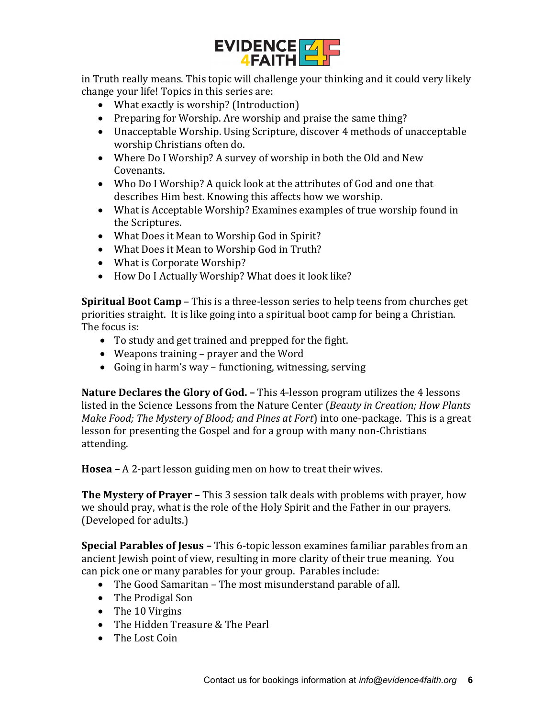

in Truth really means. This topic will challenge your thinking and it could very likely change your life! Topics in this series are:

- What exactly is worship? (Introduction)
- Preparing for Worship. Are worship and praise the same thing?
- Unacceptable Worship. Using Scripture, discover 4 methods of unacceptable worship Christians often do.
- Where Do I Worship? A survey of worship in both the Old and New Covenants.
- Who Do I Worship? A quick look at the attributes of God and one that describes Him best. Knowing this affects how we worship.
- What is Acceptable Worship? Examines examples of true worship found in the Scriptures.
- What Does it Mean to Worship God in Spirit?
- What Does it Mean to Worship God in Truth?
- What is Corporate Worship?
- How Do I Actually Worship? What does it look like?

**Spiritual Boot Camp** – This is a three-lesson series to help teens from churches get priorities straight. It is like going into a spiritual boot camp for being a Christian. The focus is:

- To study and get trained and prepped for the fight.
- Weapons training prayer and the Word
- Going in harm's way functioning, witnessing, serving

**Nature Declares the Glory of God. –** This 4-lesson program utilizes the 4 lessons listed in the Science Lessons from the Nature Center (*Beauty in Creation; How Plants Make Food; The Mystery of Blood; and Pines at Fort*) into one-package. This is a great lesson for presenting the Gospel and for a group with many non-Christians attending.

**Hosea –** A 2-part lesson guiding men on how to treat their wives.

**The Mystery of Prayer –** This 3 session talk deals with problems with prayer, how we should pray, what is the role of the Holy Spirit and the Father in our prayers. (Developed for adults.)

**Special Parables of Jesus –** This 6-topic lesson examines familiar parables from an ancient Jewish point of view, resulting in more clarity of their true meaning. You can pick one or many parables for your group. Parables include:

- The Good Samaritan The most misunderstand parable of all.
- The Prodigal Son
- The 10 Virgins
- The Hidden Treasure & The Pearl
- The Lost Coin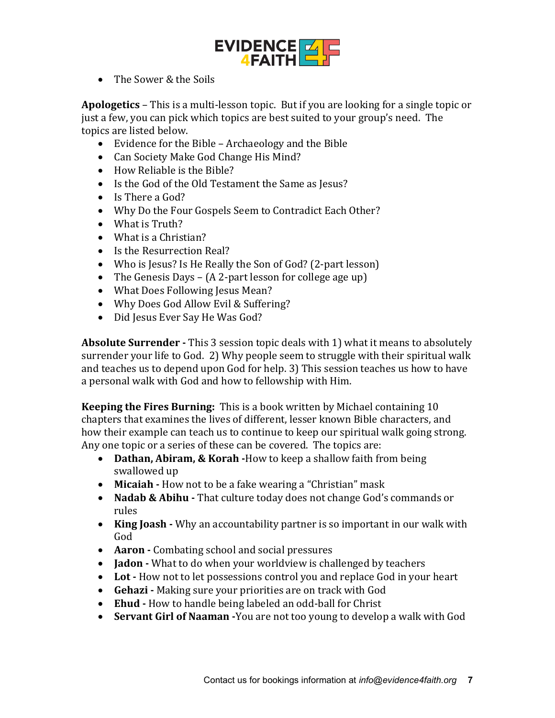

• The Sower & the Soils

**Apologetics** – This is a multi-lesson topic. But if you are looking for a single topic or just a few, you can pick which topics are best suited to your group's need. The topics are listed below.

- Evidence for the Bible Archaeology and the Bible
- Can Society Make God Change His Mind?
- How Reliable is the Bible?
- Is the God of the Old Testament the Same as Jesus?
- Is There a God?
- Why Do the Four Gospels Seem to Contradict Each Other?
- What is Truth?
- What is a Christian?
- Is the Resurrection Real?
- Who is Jesus? Is He Really the Son of God? (2-part lesson)
- The Genesis Days (A 2-part lesson for college age up)
- What Does Following Jesus Mean?
- Why Does God Allow Evil & Suffering?
- Did Jesus Ever Say He Was God?

**Absolute Surrender -** This 3 session topic deals with 1) what it means to absolutely surrender your life to God. 2) Why people seem to struggle with their spiritual walk and teaches us to depend upon God for help. 3) This session teaches us how to have a personal walk with God and how to fellowship with Him.

**Keeping the Fires Burning:** This is a book written by Michael containing 10 chapters that examines the lives of different, lesser known Bible characters, and how their example can teach us to continue to keep our spiritual walk going strong. Any one topic or a series of these can be covered. The topics are:

- **Dathan, Abiram, & Korah -**How to keep a shallow faith from being swallowed up
- **Micaiah -** How not to be a fake wearing a "Christian" mask
- **Nadab & Abihu -** That culture today does not change God's commands or rules
- **King Joash -** Why an accountability partner is so important in our walk with God
- **Aaron -** Combating school and social pressures
- **Jadon -** What to do when your worldview is challenged by teachers
- **Lot -** How not to let possessions control you and replace God in your heart
- **Gehazi -** Making sure your priorities are on track with God
- **Ehud -** How to handle being labeled an odd-ball for Christ
- **Servant Girl of Naaman -**You are not too young to develop a walk with God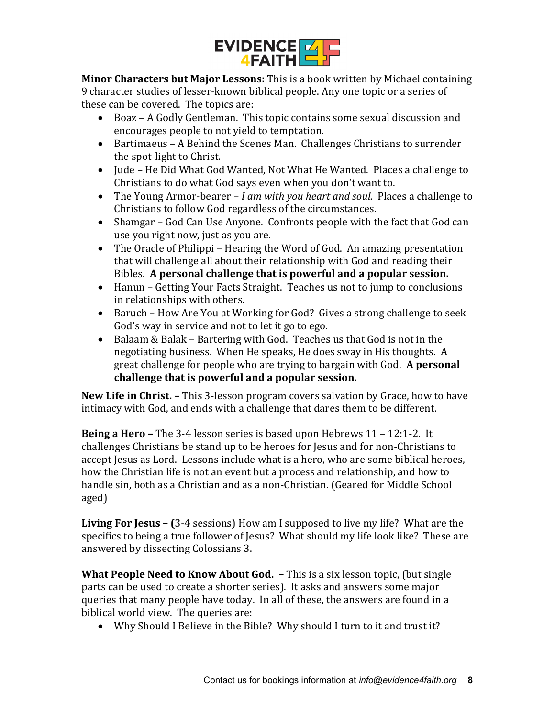

**Minor Characters but Major Lessons:** This is a book written by Michael containing 9 character studies of lesser-known biblical people. Any one topic or a series of these can be covered. The topics are:

- Boaz A Godly Gentleman. This topic contains some sexual discussion and encourages people to not yield to temptation.
- Bartimaeus A Behind the Scenes Man. Challenges Christians to surrender the spot-light to Christ.
- Jude He Did What God Wanted, Not What He Wanted. Places a challenge to Christians to do what God says even when you don't want to.
- The Young Armor-bearer *I am with you heart and soul.* Places a challenge to Christians to follow God regardless of the circumstances.
- Shamgar God Can Use Anyone. Confronts people with the fact that God can use you right now, just as you are.
- The Oracle of Philippi Hearing the Word of God. An amazing presentation that will challenge all about their relationship with God and reading their Bibles. **A personal challenge that is powerful and a popular session.**
- Hanun Getting Your Facts Straight. Teaches us not to jump to conclusions in relationships with others.
- Baruch How Are You at Working for God? Gives a strong challenge to seek God's way in service and not to let it go to ego.
- Balaam & Balak Bartering with God. Teaches us that God is not in the negotiating business. When He speaks, He does sway in His thoughts. A great challenge for people who are trying to bargain with God. **A personal challenge that is powerful and a popular session.**

**New Life in Christ. –** This 3-lesson program covers salvation by Grace, how to have intimacy with God, and ends with a challenge that dares them to be different.

**Being a Hero –** The 3-4 lesson series is based upon Hebrews 11 – 12:1-2. It challenges Christians be stand up to be heroes for Jesus and for non-Christians to accept Jesus as Lord. Lessons include what is a hero, who are some biblical heroes, how the Christian life is not an event but a process and relationship, and how to handle sin, both as a Christian and as a non-Christian. (Geared for Middle School aged)

**Living For Jesus – (**3-4 sessions) How am I supposed to live my life? What are the specifics to being a true follower of Jesus? What should my life look like? These are answered by dissecting Colossians 3.

**What People Need to Know About God. –** This is a six lesson topic, (but single parts can be used to create a shorter series). It asks and answers some major queries that many people have today. In all of these, the answers are found in a biblical world view. The queries are:

• Why Should I Believe in the Bible? Why should I turn to it and trust it?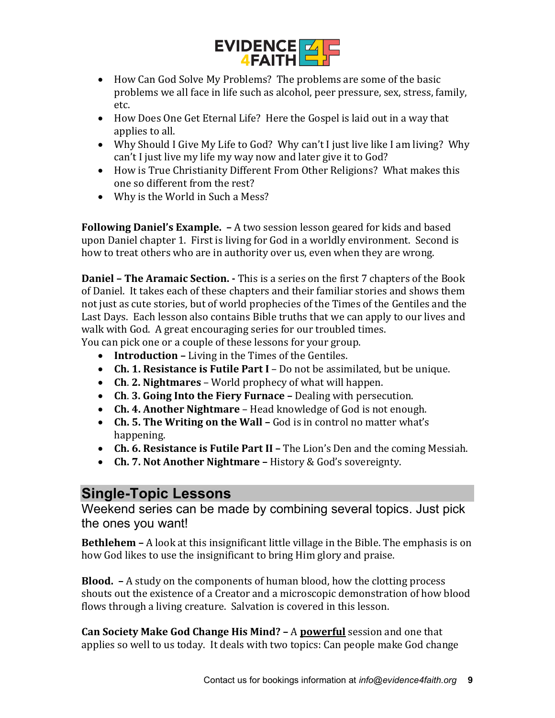

- How Can God Solve My Problems? The problems are some of the basic problems we all face in life such as alcohol, peer pressure, sex, stress, family, etc.
- How Does One Get Eternal Life? Here the Gospel is laid out in a way that applies to all.
- Why Should I Give My Life to God? Why can't I just live like I am living? Why can't I just live my life my way now and later give it to God?
- How is True Christianity Different From Other Religions? What makes this one so different from the rest?
- Why is the World in Such a Mess?

**Following Daniel's Example. –** A two session lesson geared for kids and based upon Daniel chapter 1. First is living for God in a worldly environment. Second is how to treat others who are in authority over us, even when they are wrong.

**Daniel – The Aramaic Section. -** This is a series on the first 7 chapters of the Book of Daniel. It takes each of these chapters and their familiar stories and shows them not just as cute stories, but of world prophecies of the Times of the Gentiles and the Last Days. Each lesson also contains Bible truths that we can apply to our lives and walk with God. A great encouraging series for our troubled times.

- You can pick one or a couple of these lessons for your group.
	- **Introduction –** Living in the Times of the Gentiles.
	- **Ch. 1. Resistance is Futile Part I** Do not be assimilated, but be unique.
	- **Ch**. **2. Nightmares**  World prophecy of what will happen.
	- **Ch**. **3. Going Into the Fiery Furnace –** Dealing with persecution.
	- **Ch. 4. Another Nightmare**  Head knowledge of God is not enough.
	- **Ch. 5. The Writing on the Wall –** God is in control no matter what's happening.
	- **Ch. 6. Resistance is Futile Part II –** The Lion's Den and the coming Messiah.
	- **Ch. 7. Not Another Nightmare –** History & God's sovereignty.

## **Single-Topic Lessons**

Weekend series can be made by combining several topics. Just pick the ones you want!

**Bethlehem –** A look at this insignificant little village in the Bible. The emphasis is on how God likes to use the insignificant to bring Him glory and praise.

**Blood. –** A study on the components of human blood, how the clotting process shouts out the existence of a Creator and a microscopic demonstration of how blood flows through a living creature. Salvation is covered in this lesson.

**Can Society Make God Change His Mind? –** A **powerful** session and one that applies so well to us today. It deals with two topics: Can people make God change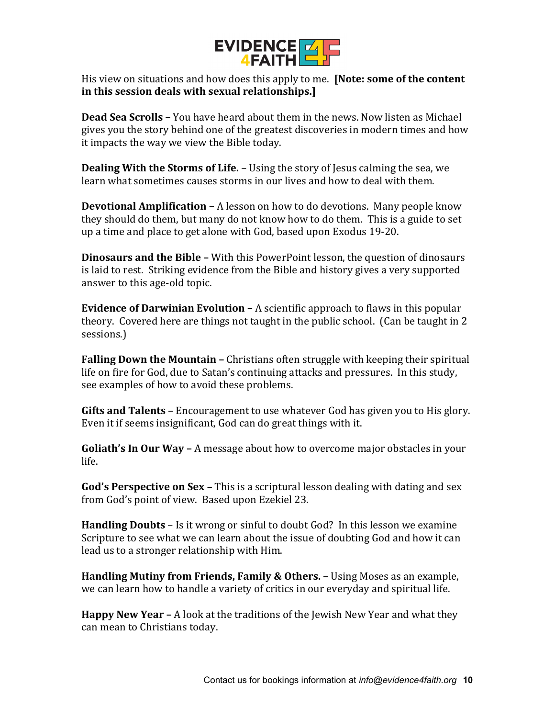

His view on situations and how does this apply to me. **[Note: some of the content in this session deals with sexual relationships.]**

**Dead Sea Scrolls –** You have heard about them in the news. Now listen as Michael gives you the story behind one of the greatest discoveries in modern times and how it impacts the way we view the Bible today.

**Dealing With the Storms of Life.** – Using the story of Jesus calming the sea, we learn what sometimes causes storms in our lives and how to deal with them.

**Devotional Amplification –** A lesson on how to do devotions. Many people know they should do them, but many do not know how to do them. This is a guide to set up a time and place to get alone with God, based upon Exodus 19-20.

**Dinosaurs and the Bible –** With this PowerPoint lesson, the question of dinosaurs is laid to rest. Striking evidence from the Bible and history gives a very supported answer to this age-old topic.

**Evidence of Darwinian Evolution –** A scientific approach to flaws in this popular theory. Covered here are things not taught in the public school. (Can be taught in 2 sessions.)

**Falling Down the Mountain –** Christians often struggle with keeping their spiritual life on fire for God, due to Satan's continuing attacks and pressures. In this study, see examples of how to avoid these problems.

**Gifts and Talents** – Encouragement to use whatever God has given you to His glory. Even it if seems insignificant, God can do great things with it.

**Goliath's In Our Way –** A message about how to overcome major obstacles in your life.

**God's Perspective on Sex –** This is a scriptural lesson dealing with dating and sex from God's point of view. Based upon Ezekiel 23.

**Handling Doubts** – Is it wrong or sinful to doubt God? In this lesson we examine Scripture to see what we can learn about the issue of doubting God and how it can lead us to a stronger relationship with Him.

**Handling Mutiny from Friends, Family & Others. –** Using Moses as an example, we can learn how to handle a variety of critics in our everyday and spiritual life.

**Happy New Year –** A look at the traditions of the Jewish New Year and what they can mean to Christians today.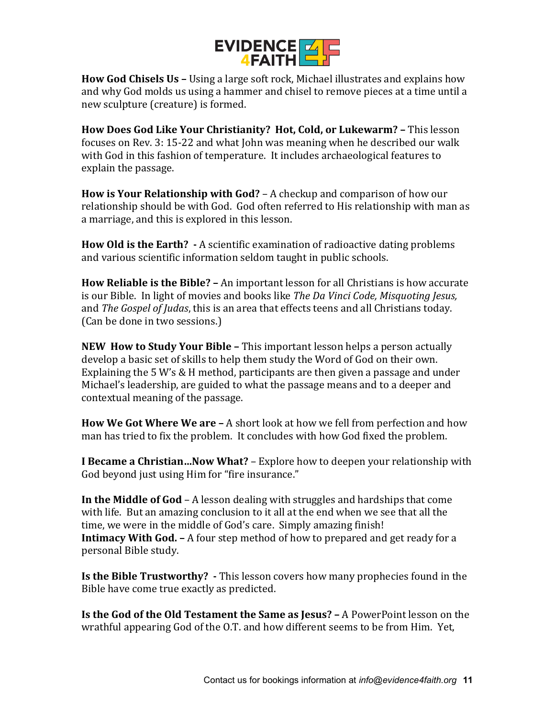

**How God Chisels Us –** Using a large soft rock, Michael illustrates and explains how and why God molds us using a hammer and chisel to remove pieces at a time until a new sculpture (creature) is formed.

**How Does God Like Your Christianity? Hot, Cold, or Lukewarm? –** This lesson focuses on Rev. 3: 15-22 and what John was meaning when he described our walk with God in this fashion of temperature. It includes archaeological features to explain the passage.

**How is Your Relationship with God?** – A checkup and comparison of how our relationship should be with God. God often referred to His relationship with man as a marriage, and this is explored in this lesson.

**How Old is the Earth? -** A scientific examination of radioactive dating problems and various scientific information seldom taught in public schools.

**How Reliable is the Bible? –** An important lesson for all Christians is how accurate is our Bible. In light of movies and books like *The Da Vinci Code, Misquoting Jesus,*  and *The Gospel of Judas*, this is an area that effects teens and all Christians today. (Can be done in two sessions.)

**NEW How to Study Your Bible –** This important lesson helps a person actually develop a basic set of skills to help them study the Word of God on their own. Explaining the 5 W's & H method, participants are then given a passage and under Michael's leadership, are guided to what the passage means and to a deeper and contextual meaning of the passage.

**How We Got Where We are –** A short look at how we fell from perfection and how man has tried to fix the problem. It concludes with how God fixed the problem.

**I Became a Christian…Now What?** – Explore how to deepen your relationship with God beyond just using Him for "fire insurance."

**In the Middle of God** – A lesson dealing with struggles and hardships that come with life. But an amazing conclusion to it all at the end when we see that all the time, we were in the middle of God's care. Simply amazing finish! **Intimacy With God. –** A four step method of how to prepared and get ready for a personal Bible study.

**Is the Bible Trustworthy? -** This lesson covers how many prophecies found in the Bible have come true exactly as predicted.

**Is the God of the Old Testament the Same as Jesus? –** A PowerPoint lesson on the wrathful appearing God of the O.T. and how different seems to be from Him. Yet,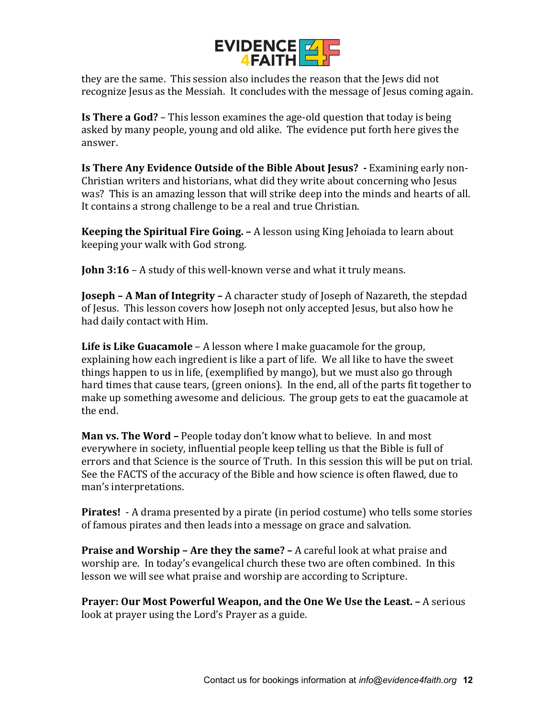

they are the same. This session also includes the reason that the Jews did not recognize Jesus as the Messiah. It concludes with the message of Jesus coming again.

**Is There a God?** – This lesson examines the age-old question that today is being asked by many people, young and old alike. The evidence put forth here gives the answer.

**Is There Any Evidence Outside of the Bible About Jesus? -** Examining early non-Christian writers and historians, what did they write about concerning who Jesus was? This is an amazing lesson that will strike deep into the minds and hearts of all. It contains a strong challenge to be a real and true Christian.

**Keeping the Spiritual Fire Going. –** A lesson using King Jehoiada to learn about keeping your walk with God strong.

**John 3:16** – A study of this well-known verse and what it truly means.

**Joseph – A Man of Integrity –** A character study of Joseph of Nazareth, the stepdad of Jesus. This lesson covers how Joseph not only accepted Jesus, but also how he had daily contact with Him.

**Life is Like Guacamole** – A lesson where I make guacamole for the group, explaining how each ingredient is like a part of life. We all like to have the sweet things happen to us in life, (exemplified by mango), but we must also go through hard times that cause tears, (green onions). In the end, all of the parts fit together to make up something awesome and delicious. The group gets to eat the guacamole at the end.

**Man vs. The Word –** People today don't know what to believe. In and most everywhere in society, influential people keep telling us that the Bible is full of errors and that Science is the source of Truth. In this session this will be put on trial. See the FACTS of the accuracy of the Bible and how science is often flawed, due to man's interpretations.

**Pirates!** - A drama presented by a pirate (in period costume) who tells some stories of famous pirates and then leads into a message on grace and salvation.

**Praise and Worship – Are they the same? –** A careful look at what praise and worship are. In today's evangelical church these two are often combined. In this lesson we will see what praise and worship are according to Scripture.

**Prayer: Our Most Powerful Weapon, and the One We Use the Least. –** A serious look at prayer using the Lord's Prayer as a guide.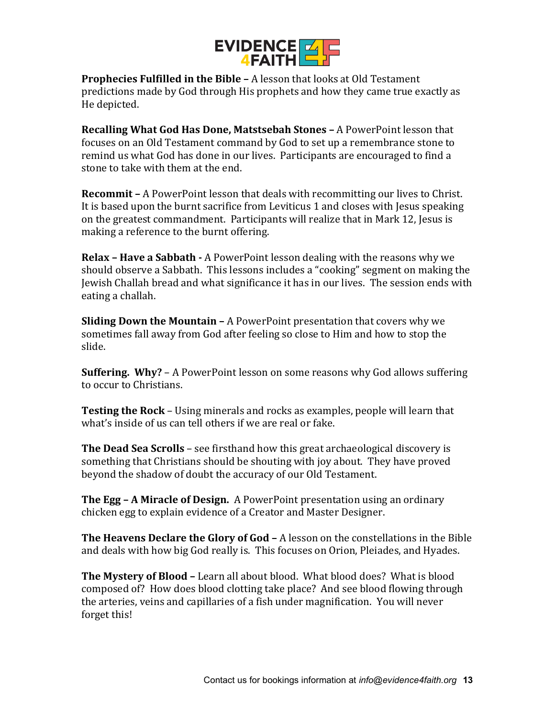

**Prophecies Fulfilled in the Bible –** A lesson that looks at Old Testament predictions made by God through His prophets and how they came true exactly as He depicted.

**Recalling What God Has Done, Matstsebah Stones –** A PowerPoint lesson that focuses on an Old Testament command by God to set up a remembrance stone to remind us what God has done in our lives. Participants are encouraged to find a stone to take with them at the end.

**Recommit –** A PowerPoint lesson that deals with recommitting our lives to Christ. It is based upon the burnt sacrifice from Leviticus 1 and closes with Jesus speaking on the greatest commandment. Participants will realize that in Mark 12, Jesus is making a reference to the burnt offering.

**Relax – Have a Sabbath -** A PowerPoint lesson dealing with the reasons why we should observe a Sabbath. This lessons includes a "cooking" segment on making the Jewish Challah bread and what significance it has in our lives. The session ends with eating a challah.

**Sliding Down the Mountain –** A PowerPoint presentation that covers why we sometimes fall away from God after feeling so close to Him and how to stop the slide.

**Suffering. Why?** – A PowerPoint lesson on some reasons why God allows suffering to occur to Christians.

**Testing the Rock** – Using minerals and rocks as examples, people will learn that what's inside of us can tell others if we are real or fake.

**The Dead Sea Scrolls** – see firsthand how this great archaeological discovery is something that Christians should be shouting with joy about. They have proved beyond the shadow of doubt the accuracy of our Old Testament.

**The Egg – A Miracle of Design.** A PowerPoint presentation using an ordinary chicken egg to explain evidence of a Creator and Master Designer.

**The Heavens Declare the Glory of God –** A lesson on the constellations in the Bible and deals with how big God really is. This focuses on Orion, Pleiades, and Hyades.

**The Mystery of Blood –** Learn all about blood. What blood does? What is blood composed of? How does blood clotting take place? And see blood flowing through the arteries, veins and capillaries of a fish under magnification. You will never forget this!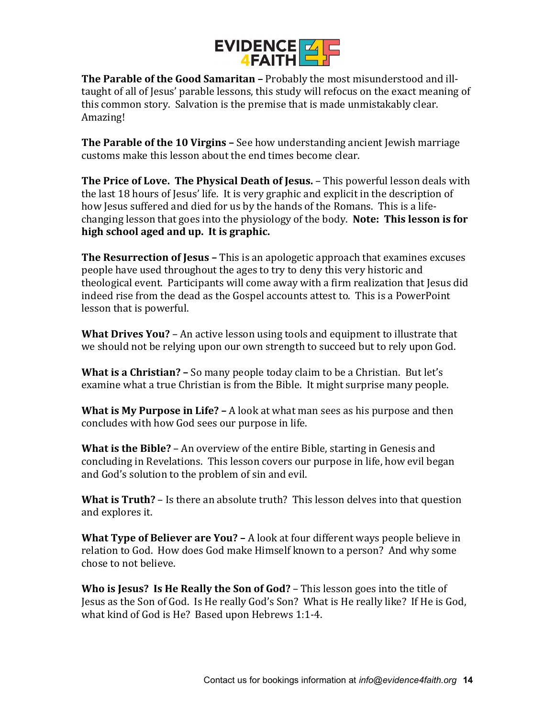

**The Parable of the Good Samaritan –** Probably the most misunderstood and illtaught of all of Jesus' parable lessons, this study will refocus on the exact meaning of this common story. Salvation is the premise that is made unmistakably clear. Amazing!

**The Parable of the 10 Virgins –** See how understanding ancient Jewish marriage customs make this lesson about the end times become clear.

**The Price of Love. The Physical Death of Jesus.** – This powerful lesson deals with the last 18 hours of Jesus' life. It is very graphic and explicit in the description of how Jesus suffered and died for us by the hands of the Romans. This is a lifechanging lesson that goes into the physiology of the body. **Note: This lesson is for high school aged and up. It is graphic.** 

**The Resurrection of Jesus –** This is an apologetic approach that examines excuses people have used throughout the ages to try to deny this very historic and theological event. Participants will come away with a firm realization that Jesus did indeed rise from the dead as the Gospel accounts attest to. This is a PowerPoint lesson that is powerful.

**What Drives You?** – An active lesson using tools and equipment to illustrate that we should not be relying upon our own strength to succeed but to rely upon God.

**What is a Christian? –** So many people today claim to be a Christian. But let's examine what a true Christian is from the Bible. It might surprise many people.

**What is My Purpose in Life? –** A look at what man sees as his purpose and then concludes with how God sees our purpose in life.

**What is the Bible?** – An overview of the entire Bible, starting in Genesis and concluding in Revelations. This lesson covers our purpose in life, how evil began and God's solution to the problem of sin and evil.

**What is Truth?** – Is there an absolute truth? This lesson delves into that question and explores it.

**What Type of Believer are You? –** A look at four different ways people believe in relation to God. How does God make Himself known to a person? And why some chose to not believe.

**Who is Jesus? Is He Really the Son of God?** – This lesson goes into the title of Jesus as the Son of God. Is He really God's Son? What is He really like? If He is God, what kind of God is He? Based upon Hebrews 1:1-4.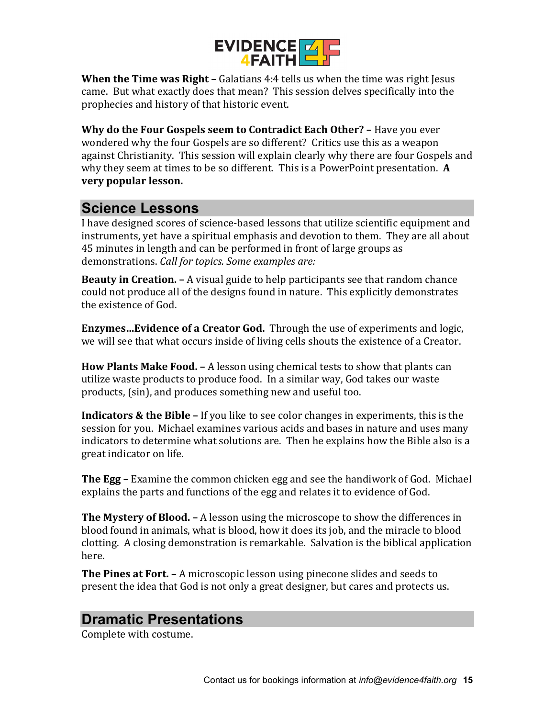

**When the Time was Right –** Galatians 4:4 tells us when the time was right Jesus came. But what exactly does that mean? This session delves specifically into the prophecies and history of that historic event.

**Why do the Four Gospels seem to Contradict Each Other? –** Have you ever wondered why the four Gospels are so different? Critics use this as a weapon against Christianity. This session will explain clearly why there are four Gospels and why they seem at times to be so different. This is a PowerPoint presentation. **A very popular lesson.**

#### **Science Lessons**

I have designed scores of science-based lessons that utilize scientific equipment and instruments, yet have a spiritual emphasis and devotion to them. They are all about 45 minutes in length and can be performed in front of large groups as demonstrations. *Call for topics. Some examples are:*

**Beauty in Creation. –** A visual guide to help participants see that random chance could not produce all of the designs found in nature. This explicitly demonstrates the existence of God.

**Enzymes…Evidence of a Creator God.** Through the use of experiments and logic, we will see that what occurs inside of living cells shouts the existence of a Creator.

**How Plants Make Food. –** A lesson using chemical tests to show that plants can utilize waste products to produce food. In a similar way, God takes our waste products, (sin), and produces something new and useful too.

**Indicators & the Bible –** If you like to see color changes in experiments, this is the session for you. Michael examines various acids and bases in nature and uses many indicators to determine what solutions are. Then he explains how the Bible also is a great indicator on life.

**The Egg –** Examine the common chicken egg and see the handiwork of God. Michael explains the parts and functions of the egg and relates it to evidence of God.

**The Mystery of Blood. –** A lesson using the microscope to show the differences in blood found in animals, what is blood, how it does its job, and the miracle to blood clotting. A closing demonstration is remarkable. Salvation is the biblical application here.

**The Pines at Fort. –** A microscopic lesson using pinecone slides and seeds to present the idea that God is not only a great designer, but cares and protects us.

## **Dramatic Presentations**

Complete with costume.